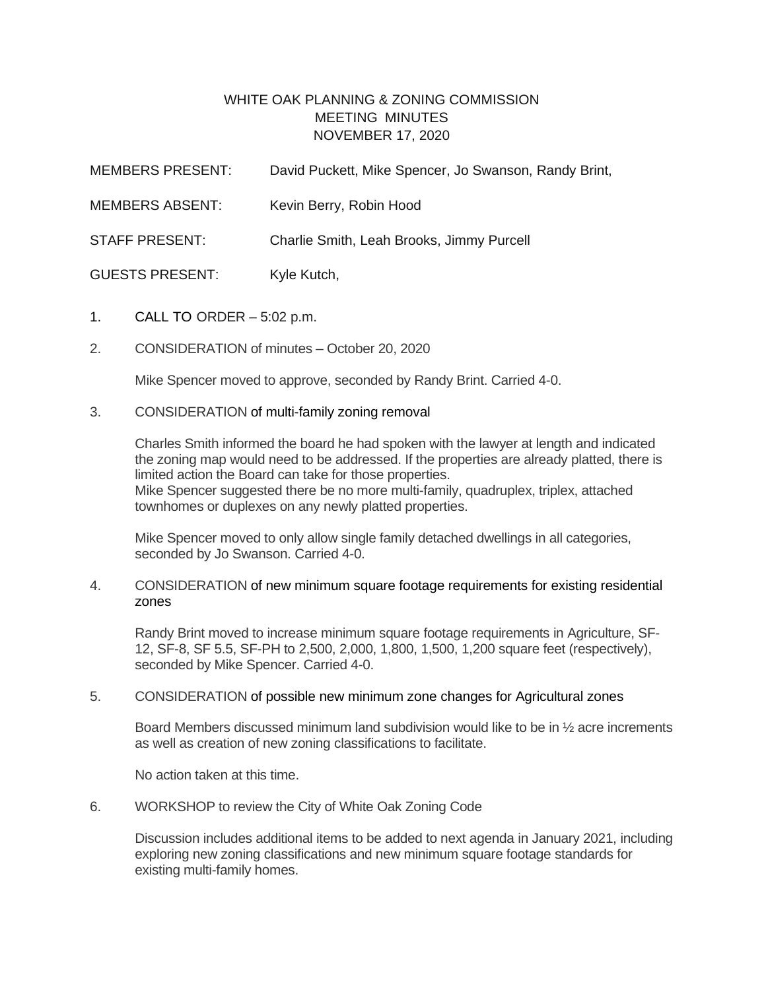## WHITE OAK PLANNING & ZONING COMMISSION MEETING MINUTES NOVEMBER 17, 2020

| <b>MEMBERS PRESENT:</b> | David Puckett, Mike Spencer, Jo Swanson, Randy Brint, |
|-------------------------|-------------------------------------------------------|
| <b>MEMBERS ABSENT:</b>  | Kevin Berry, Robin Hood                               |
| <b>STAFF PRESENT:</b>   | Charlie Smith, Leah Brooks, Jimmy Purcell             |
| <b>GUESTS PRESENT:</b>  | Kyle Kutch,                                           |

- 1. CALL TO ORDER 5:02 p.m.
- 2. CONSIDERATION of minutes October 20, 2020

Mike Spencer moved to approve, seconded by Randy Brint. Carried 4-0.

### 3. CONSIDERATION of multi-family zoning removal

Charles Smith informed the board he had spoken with the lawyer at length and indicated the zoning map would need to be addressed. If the properties are already platted, there is limited action the Board can take for those properties. Mike Spencer suggested there be no more multi-family, quadruplex, triplex, attached townhomes or duplexes on any newly platted properties.

Mike Spencer moved to only allow single family detached dwellings in all categories, seconded by Jo Swanson. Carried 4-0.

### 4. CONSIDERATION of new minimum square footage requirements for existing residential zones

Randy Brint moved to increase minimum square footage requirements in Agriculture, SF-12, SF-8, SF 5.5, SF-PH to 2,500, 2,000, 1,800, 1,500, 1,200 square feet (respectively), seconded by Mike Spencer. Carried 4-0.

### 5. CONSIDERATION of possible new minimum zone changes for Agricultural zones

Board Members discussed minimum land subdivision would like to be in ½ acre increments as well as creation of new zoning classifications to facilitate.

No action taken at this time.

6. WORKSHOP to review the City of White Oak Zoning Code

Discussion includes additional items to be added to next agenda in January 2021, including exploring new zoning classifications and new minimum square footage standards for existing multi-family homes.